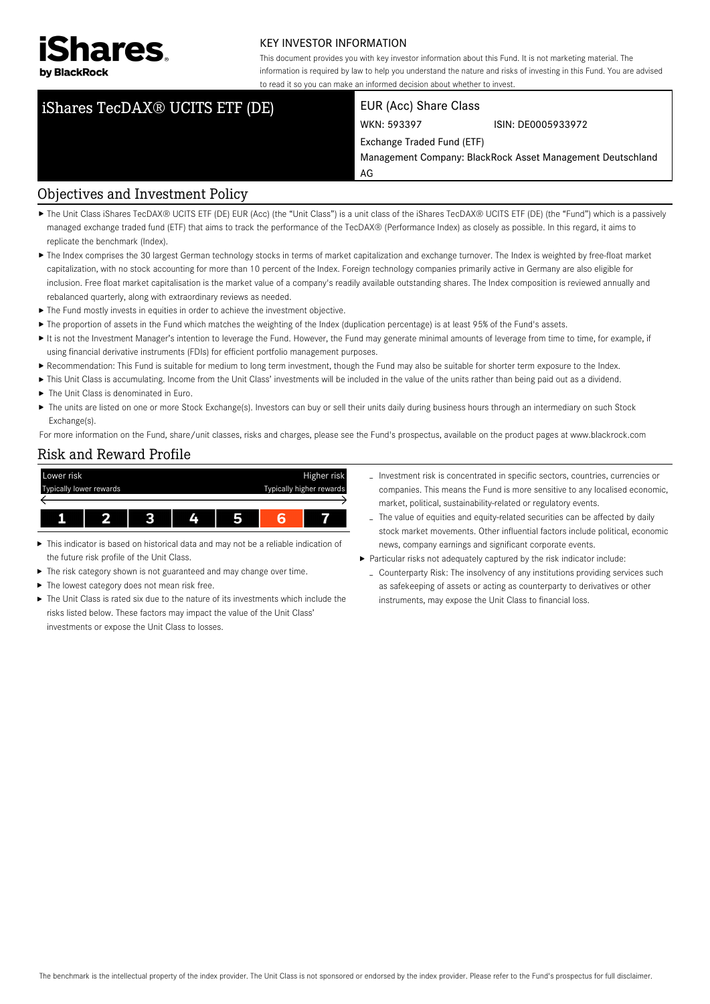

#### KEY INVESTOR INFORMATION

This document provides you with key investor information about this Fund. It is not marketing material. The information is required by law to help you understand the nature and risks of investing in this Fund. You are advised to read it so you can make an informed decision about whether to invest.

# iShares TecDAX® UCITS ETF (DE) EUR (Acc) Share Class

WKN: 593397 ISIN: DE0005933972

Exchange Traded Fund (ETF)

Management Company: BlackRock Asset Management Deutschland AG

#### Objectives and Investment Policy

- ▶ The Unit Class iShares TecDAX® UCITS ETF (DE) EUR (Acc) (the "Unit Class") is a unit class of the iShares TecDAX® UCITS ETF (DE) (the "Fund") which is a passively managed exchange traded fund (ETF) that aims to track the performance of the TecDAX® (Performance Index) as closely as possible. In this regard, it aims to replicate the benchmark (Index).
- ▶ The Index comprises the 30 largest German technology stocks in terms of market capitalization and exchange turnover. The Index is weighted by free-float market capitalization, with no stock accounting for more than 10 percent of the Index. Foreign technology companies primarily active in Germany are also eligible for inclusion. Free float market capitalisation is the market value of a company's readily available outstanding shares. The Index composition is reviewed annually and rebalanced quarterly, along with extraordinary reviews as needed.
- ▶ The Fund mostly invests in equities in order to achieve the investment objective.
- ▶ The proportion of assets in the Fund which matches the weighting of the Index (duplication percentage) is at least 95% of the Fund's assets.
- It is not the Investment Manager's intention to leverage the Fund. However, the Fund may generate minimal amounts of leverage from time to time, for example, if using financial derivative instruments (FDIs) for efficient portfolio management purposes.
- Recommendation: This Fund is suitable for medium to long term investment, though the Fund may also be suitable for shorter term exposure to the Index.
- ▶ This Unit Class is accumulating. Income from the Unit Class' investments will be included in the value of the units rather than being paid out as a dividend.
- ▶ The Unit Class is denominated in Euro.
- ▶ The units are listed on one or more Stock Exchange(s). Investors can buy or sell their units daily during business hours through an intermediary on such Stock Exchange(s).

For more information on the Fund, share/unit classes, risks and charges, please see the Fund's prospectus, available on the product pages at www.blackrock.com

#### Risk and Reward Profile



- This indicator is based on historical data and may not be a reliable indication of the future risk profile of the Unit Class.
- The risk category shown is not guaranteed and may change over time.
- ▶ The lowest category does not mean risk free.
- The Unit Class is rated six due to the nature of its investments which include the risks listed below. These factors may impact the value of the Unit Class' investments or expose the Unit Class to losses.
- Investment risk is concentrated in specific sectors, countries, currencies or companies. This means the Fund is more sensitive to any localised economic, market, political, sustainability-related or regulatory events.
- The value of equities and equity-related securities can be affected by daily stock market movements. Other influential factors include political, economic news, company earnings and significant corporate events.
- Particular risks not adequately captured by the risk indicator include:
- Counterparty Risk: The insolvency of any institutions providing services such as safekeeping of assets or acting as counterparty to derivatives or other instruments, may expose the Unit Class to financial loss.